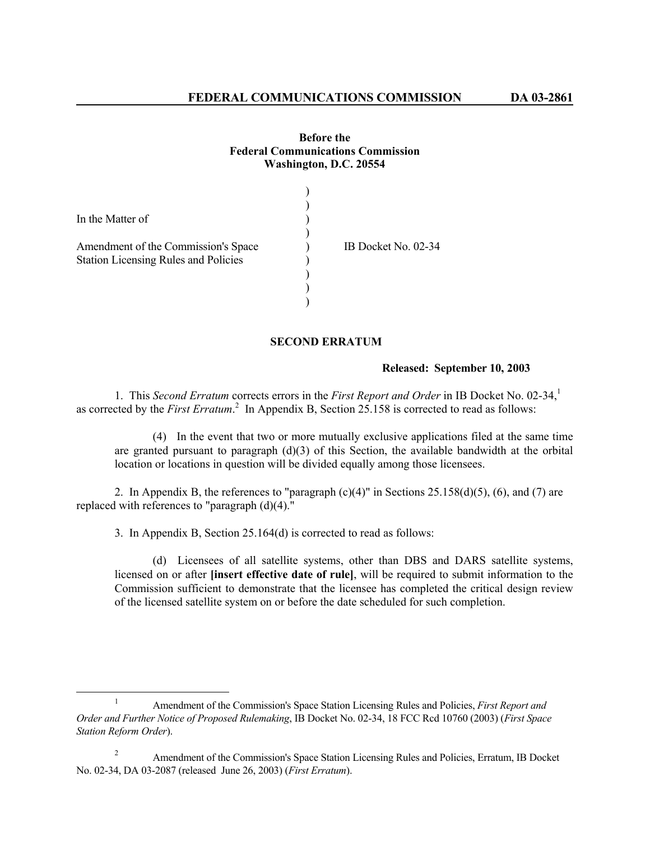## **Before the Federal Communications Commission Washington, D.C. 20554**

| In the Matter of                            |                     |
|---------------------------------------------|---------------------|
|                                             |                     |
| Amendment of the Commission's Space         | IB Docket No. 02-34 |
| <b>Station Licensing Rules and Policies</b> |                     |
|                                             |                     |
|                                             |                     |
|                                             |                     |

## **SECOND ERRATUM**

## **Released: September 10, 2003**

1. This *Second Erratum* corrects errors in the *First Report and Order* in IB Docket No. 02-34,<sup>1</sup> as corrected by the *First Erratum*.<sup>2</sup> In Appendix B, Section 25.158 is corrected to read as follows:

 (4) In the event that two or more mutually exclusive applications filed at the same time are granted pursuant to paragraph (d)(3) of this Section, the available bandwidth at the orbital location or locations in question will be divided equally among those licensees.

2. In Appendix B, the references to "paragraph  $(c)(4)$ " in Sections 25.158(d)(5), (6), and (7) are replaced with references to "paragraph  $(d)(4)$ ."

3. In Appendix B, Section 25.164(d) is corrected to read as follows:

 (d) Licensees of all satellite systems, other than DBS and DARS satellite systems, licensed on or after **[insert effective date of rule]**, will be required to submit information to the Commission sufficient to demonstrate that the licensee has completed the critical design review of the licensed satellite system on or before the date scheduled for such completion.

<sup>&</sup>lt;u>1</u> Amendment of the Commission's Space Station Licensing Rules and Policies, *First Report and Order and Further Notice of Proposed Rulemaking*, IB Docket No. 02-34, 18 FCC Rcd 10760 (2003) (*First Space Station Reform Order*).

<sup>2</sup> Amendment of the Commission's Space Station Licensing Rules and Policies, Erratum, IB Docket No. 02-34, DA 03-2087 (released June 26, 2003) (*First Erratum*).